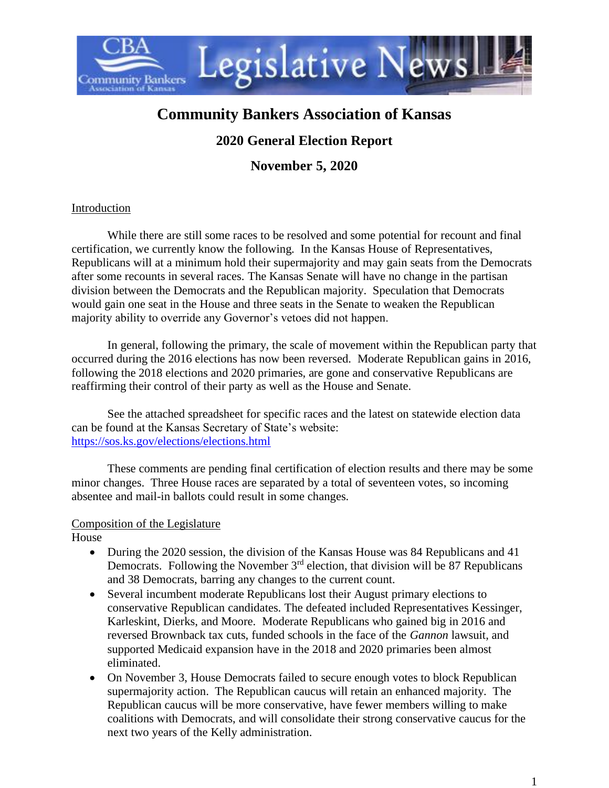

# **Community Bankers Association of Kansas**

## **2020 General Election Report**

**November 5, 2020**

#### Introduction

While there are still some races to be resolved and some potential for recount and final certification, we currently know the following. In the Kansas House of Representatives, Republicans will at a minimum hold their supermajority and may gain seats from the Democrats after some recounts in several races. The Kansas Senate will have no change in the partisan division between the Democrats and the Republican majority. Speculation that Democrats would gain one seat in the House and three seats in the Senate to weaken the Republican majority ability to override any Governor's vetoes did not happen.

In general, following the primary, the scale of movement within the Republican party that occurred during the 2016 elections has now been reversed. Moderate Republican gains in 2016, following the 2018 elections and 2020 primaries, are gone and conservative Republicans are reaffirming their control of their party as well as the House and Senate.

See the attached spreadsheet for specific races and the latest on statewide election data can be found at the Kansas Secretary of State's website: <https://sos.ks.gov/elections/elections.html>

These comments are pending final certification of election results and there may be some minor changes. Three House races are separated by a total of seventeen votes, so incoming absentee and mail-in ballots could result in some changes.

#### Composition of the Legislature

House

- During the 2020 session, the division of the Kansas House was 84 Republicans and 41 Democrats. Following the November  $3<sup>rd</sup>$  election, that division will be 87 Republicans and 38 Democrats, barring any changes to the current count.
- Several incumbent moderate Republicans lost their August primary elections to conservative Republican candidates. The defeated included Representatives Kessinger, Karleskint, Dierks, and Moore. Moderate Republicans who gained big in 2016 and reversed Brownback tax cuts, funded schools in the face of the *Gannon* lawsuit, and supported Medicaid expansion have in the 2018 and 2020 primaries been almost eliminated.
- On November 3, House Democrats failed to secure enough votes to block Republican supermajority action. The Republican caucus will retain an enhanced majority. The Republican caucus will be more conservative, have fewer members willing to make coalitions with Democrats, and will consolidate their strong conservative caucus for the next two years of the Kelly administration.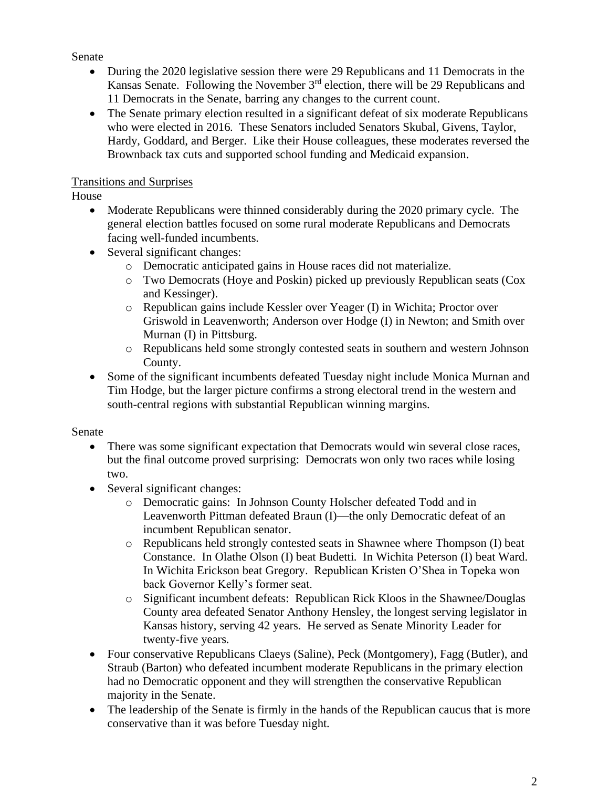#### Senate

- During the 2020 legislative session there were 29 Republicans and 11 Democrats in the Kansas Senate. Following the November  $3<sup>rd</sup>$  election, there will be 29 Republicans and 11 Democrats in the Senate, barring any changes to the current count.
- The Senate primary election resulted in a significant defeat of six moderate Republicans who were elected in 2016. These Senators included Senators Skubal, Givens, Taylor, Hardy, Goddard, and Berger. Like their House colleagues, these moderates reversed the Brownback tax cuts and supported school funding and Medicaid expansion.

## Transitions and Surprises

House

- Moderate Republicans were thinned considerably during the 2020 primary cycle. The general election battles focused on some rural moderate Republicans and Democrats facing well-funded incumbents.
- Several significant changes:
	- o Democratic anticipated gains in House races did not materialize.
	- o Two Democrats (Hoye and Poskin) picked up previously Republican seats (Cox and Kessinger).
	- o Republican gains include Kessler over Yeager (I) in Wichita; Proctor over Griswold in Leavenworth; Anderson over Hodge (I) in Newton; and Smith over Murnan (I) in Pittsburg.
	- o Republicans held some strongly contested seats in southern and western Johnson County.
- Some of the significant incumbents defeated Tuesday night include Monica Murnan and Tim Hodge, but the larger picture confirms a strong electoral trend in the western and south-central regions with substantial Republican winning margins.

### Senate

- There was some significant expectation that Democrats would win several close races, but the final outcome proved surprising: Democrats won only two races while losing two.
- Several significant changes:
	- o Democratic gains: In Johnson County Holscher defeated Todd and in Leavenworth Pittman defeated Braun (I)—the only Democratic defeat of an incumbent Republican senator.
	- o Republicans held strongly contested seats in Shawnee where Thompson (I) beat Constance. In Olathe Olson (I) beat Budetti. In Wichita Peterson (I) beat Ward. In Wichita Erickson beat Gregory. Republican Kristen O'Shea in Topeka won back Governor Kelly's former seat.
	- o Significant incumbent defeats: Republican Rick Kloos in the Shawnee/Douglas County area defeated Senator Anthony Hensley, the longest serving legislator in Kansas history, serving 42 years. He served as Senate Minority Leader for twenty-five years.
- Four conservative Republicans Claeys (Saline), Peck (Montgomery), Fagg (Butler), and Straub (Barton) who defeated incumbent moderate Republicans in the primary election had no Democratic opponent and they will strengthen the conservative Republican majority in the Senate.
- The leadership of the Senate is firmly in the hands of the Republican caucus that is more conservative than it was before Tuesday night.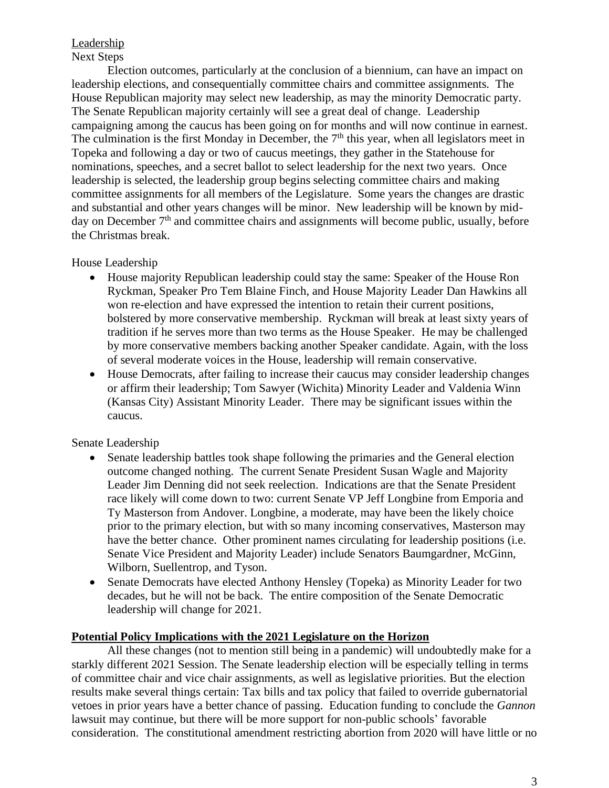#### **Leadership** Next Steps

Election outcomes, particularly at the conclusion of a biennium, can have an impact on leadership elections, and consequentially committee chairs and committee assignments. The House Republican majority may select new leadership, as may the minority Democratic party. The Senate Republican majority certainly will see a great deal of change. Leadership campaigning among the caucus has been going on for months and will now continue in earnest. The culmination is the first Monday in December, the  $7<sup>th</sup>$  this year, when all legislators meet in Topeka and following a day or two of caucus meetings, they gather in the Statehouse for nominations, speeches, and a secret ballot to select leadership for the next two years. Once leadership is selected, the leadership group begins selecting committee chairs and making committee assignments for all members of the Legislature. Some years the changes are drastic and substantial and other years changes will be minor. New leadership will be known by midday on December  $7<sup>th</sup>$  and committee chairs and assignments will become public, usually, before the Christmas break.

#### House Leadership

- House majority Republican leadership could stay the same: Speaker of the House Ron Ryckman, Speaker Pro Tem Blaine Finch, and House Majority Leader Dan Hawkins all won re-election and have expressed the intention to retain their current positions, bolstered by more conservative membership. Ryckman will break at least sixty years of tradition if he serves more than two terms as the House Speaker. He may be challenged by more conservative members backing another Speaker candidate. Again, with the loss of several moderate voices in the House, leadership will remain conservative.
- House Democrats, after failing to increase their caucus may consider leadership changes or affirm their leadership; Tom Sawyer (Wichita) Minority Leader and Valdenia Winn (Kansas City) Assistant Minority Leader. There may be significant issues within the caucus.

#### Senate Leadership

- Senate leadership battles took shape following the primaries and the General election outcome changed nothing. The current Senate President Susan Wagle and Majority Leader Jim Denning did not seek reelection. Indications are that the Senate President race likely will come down to two: current Senate VP Jeff Longbine from Emporia and Ty Masterson from Andover. Longbine, a moderate, may have been the likely choice prior to the primary election, but with so many incoming conservatives, Masterson may have the better chance. Other prominent names circulating for leadership positions (i.e. Senate Vice President and Majority Leader) include Senators Baumgardner, McGinn, Wilborn, Suellentrop, and Tyson.
- Senate Democrats have elected Anthony Hensley (Topeka) as Minority Leader for two decades, but he will not be back. The entire composition of the Senate Democratic leadership will change for 2021.

#### **Potential Policy Implications with the 2021 Legislature on the Horizon**

All these changes (not to mention still being in a pandemic) will undoubtedly make for a starkly different 2021 Session. The Senate leadership election will be especially telling in terms of committee chair and vice chair assignments, as well as legislative priorities. But the election results make several things certain: Tax bills and tax policy that failed to override gubernatorial vetoes in prior years have a better chance of passing. Education funding to conclude the *Gannon* lawsuit may continue, but there will be more support for non-public schools' favorable consideration. The constitutional amendment restricting abortion from 2020 will have little or no